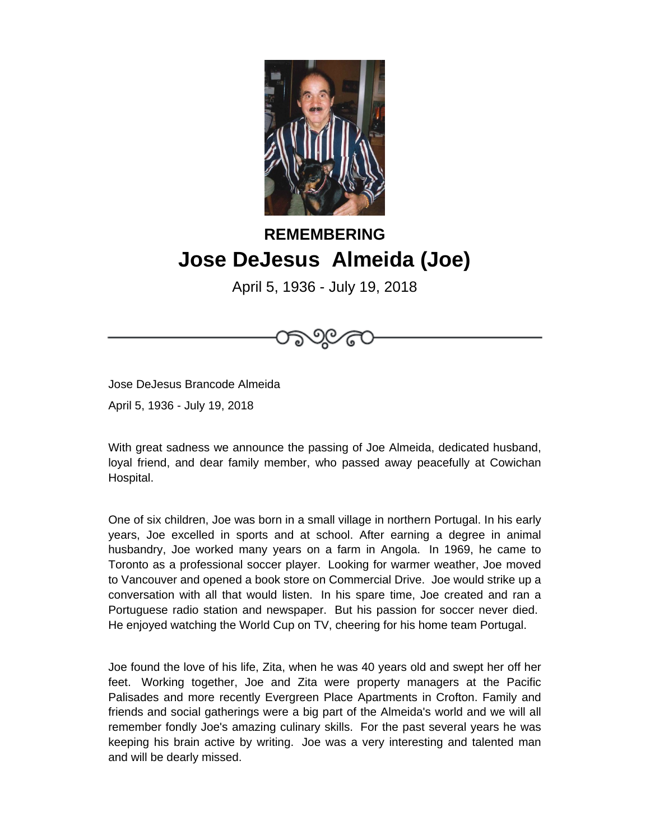

## **REMEMBERING Jose DeJesus Almeida (Joe)**

April 5, 1936 - July 19, 2018

Jose DeJesus Brancode Almeida

April 5, 1936 - July 19, 2018

With great sadness we announce the passing of Joe Almeida, dedicated husband, loyal friend, and dear family member, who passed away peacefully at Cowichan Hospital.

One of six children, Joe was born in a small village in northern Portugal. In his early years, Joe excelled in sports and at school. After earning a degree in animal husbandry, Joe worked many years on a farm in Angola. In 1969, he came to Toronto as a professional soccer player. Looking for warmer weather, Joe moved to Vancouver and opened a book store on Commercial Drive. Joe would strike up a conversation with all that would listen. In his spare time, Joe created and ran a Portuguese radio station and newspaper. But his passion for soccer never died. He enjoyed watching the World Cup on TV, cheering for his home team Portugal.

Joe found the love of his life, Zita, when he was 40 years old and swept her off her feet. Working together, Joe and Zita were property managers at the Pacific Palisades and more recently Evergreen Place Apartments in Crofton. Family and friends and social gatherings were a big part of the Almeida's world and we will all remember fondly Joe's amazing culinary skills. For the past several years he was keeping his brain active by writing. Joe was a very interesting and talented man and will be dearly missed.